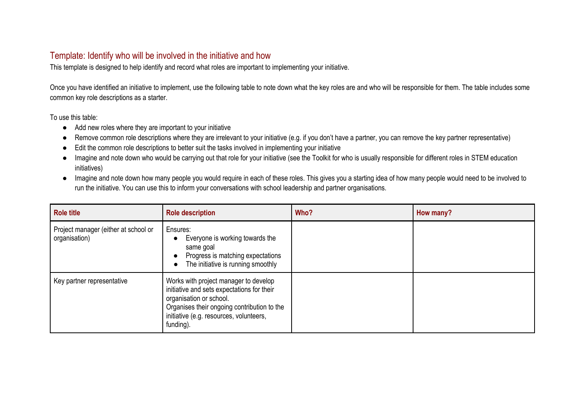## Template: Identify who will be involved in the initiative and how

This template is designed to help identify and record what roles are important to implementing your initiative.

Once you have identified an initiative to implement, use the following table to note down what the key roles are and who will be responsible for them. The table includes some common key role descriptions as a starter.

To use this table:

- Add new roles where they are important to your initiative
- Remove common role descriptions where they are irrelevant to your initiative (e.g. if you don't have a partner, you can remove the key partner representative)
- Edit the common role descriptions to better suit the tasks involved in implementing your initiative
- Imagine and note down who would be carrying out that role for your initiative (see the Toolkit for who is usually responsible for different roles in STEM education initiatives)
- Imagine and note down how many people you would require in each of these roles. This gives you a starting idea of how many people would need to be involved to run the initiative. You can use this to inform your conversations with school leadership and partner organisations.

| <b>Role title</b>                                     | <b>Role description</b>                                                                                                                                                                                               | Who? | How many? |
|-------------------------------------------------------|-----------------------------------------------------------------------------------------------------------------------------------------------------------------------------------------------------------------------|------|-----------|
| Project manager (either at school or<br>organisation) | Ensures:<br>Everyone is working towards the<br>$\bullet$<br>same goal<br>Progress is matching expectations<br>The initiative is running smoothly                                                                      |      |           |
| Key partner representative                            | Works with project manager to develop<br>initiative and sets expectations for their<br>organisation or school.<br>Organises their ongoing contribution to the<br>initiative (e.g. resources, volunteers,<br>funding). |      |           |